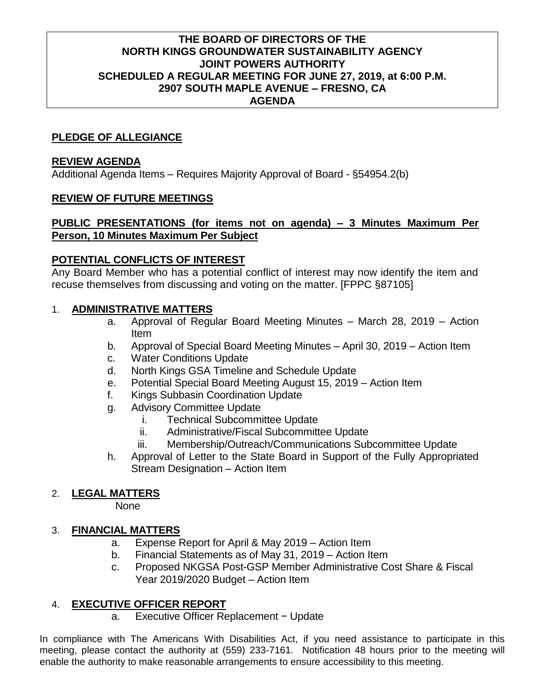## **THE BOARD OF DIRECTORS OF THE NORTH KINGS GROUNDWATER SUSTAINABILITY AGENCY JOINT POWERS AUTHORITY SCHEDULED A REGULAR MEETING FOR JUNE 27, 2019, at 6:00 P.M. 2907 SOUTH MAPLE AVENUE – FRESNO, CA AGENDA**

## **PLEDGE OF ALLEGIANCE**

#### **REVIEW AGENDA**

Additional Agenda Items – Requires Majority Approval of Board - §54954.2(b)

## **REVIEW OF FUTURE MEETINGS**

## **PUBLIC PRESENTATIONS (for items not on agenda) – 3 Minutes Maximum Per Person, 10 Minutes Maximum Per Subject**

## **POTENTIAL CONFLICTS OF INTEREST**

Any Board Member who has a potential conflict of interest may now identify the item and recuse themselves from discussing and voting on the matter. [FPPC §87105]

## 1. **ADMINISTRATIVE MATTERS**

- a. Approval of Regular Board Meeting Minutes March 28, 2019 Action Item
- b. Approval of Special Board Meeting Minutes April 30, 2019 Action Item
- c. Water Conditions Update
- d. North Kings GSA Timeline and Schedule Update
- e. Potential Special Board Meeting August 15, 2019 Action Item
- f. Kings Subbasin Coordination Update
- g. Advisory Committee Update
	- i. Technical Subcommittee Update
	- ii. Administrative/Fiscal Subcommittee Update
	- iii. Membership/Outreach/Communications Subcommittee Update
- h. Approval of Letter to the State Board in Support of the Fully Appropriated Stream Designation – Action Item

## 2. **LEGAL MATTERS**

None

# 3. **FINANCIAL MATTERS**

- a. Expense Report for April & May 2019 Action Item
- b. Financial Statements as of May 31, 2019 Action Item
- c. Proposed NKGSA Post-GSP Member Administrative Cost Share & Fiscal Year 2019/2020 Budget – Action Item

# 4. **EXECUTIVE OFFICER REPORT**

a. Executive Officer Replacement − Update

In compliance with The Americans With Disabilities Act, if you need assistance to participate in this meeting, please contact the authority at (559) 233-7161. Notification 48 hours prior to the meeting will enable the authority to make reasonable arrangements to ensure accessibility to this meeting.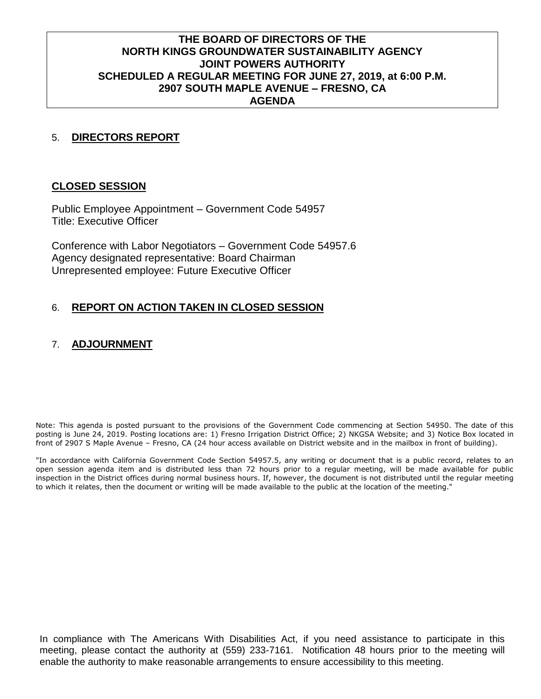## **THE BOARD OF DIRECTORS OF THE NORTH KINGS GROUNDWATER SUSTAINABILITY AGENCY JOINT POWERS AUTHORITY SCHEDULED A REGULAR MEETING FOR JUNE 27, 2019, at 6:00 P.M. 2907 SOUTH MAPLE AVENUE – FRESNO, CA AGENDA**

## 5. **DIRECTORS REPORT**

#### **CLOSED SESSION**

Public Employee Appointment – Government Code 54957 Title: Executive Officer

Conference with Labor Negotiators – Government Code 54957.6 Agency designated representative: Board Chairman Unrepresented employee: Future Executive Officer

## 6. **REPORT ON ACTION TAKEN IN CLOSED SESSION**

## 7. **ADJOURNMENT**

Note: This agenda is posted pursuant to the provisions of the Government Code commencing at Section 54950. The date of this posting is June 24, 2019. Posting locations are: 1) Fresno Irrigation District Office; 2) NKGSA Website; and 3) Notice Box located in front of 2907 S Maple Avenue – Fresno, CA (24 hour access available on District website and in the mailbox in front of building).

"In accordance with California Government Code Section 54957.5, any writing or document that is a public record, relates to an open session agenda item and is distributed less than 72 hours prior to a regular meeting, will be made available for public inspection in the District offices during normal business hours. If, however, the document is not distributed until the regular meeting to which it relates, then the document or writing will be made available to the public at the location of the meeting."

In compliance with The Americans With Disabilities Act, if you need assistance to participate in this meeting, please contact the authority at (559) 233-7161. Notification 48 hours prior to the meeting will enable the authority to make reasonable arrangements to ensure accessibility to this meeting.